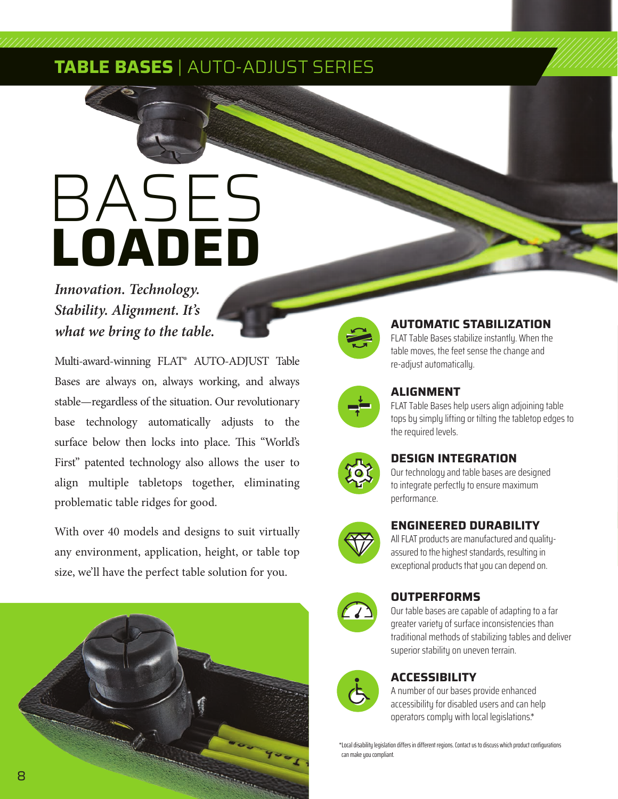# **TABLE BASES** | AUTO-ADJUST SERIES

# **LOADED** BASES

# *Innovation. Technology. Stability. Alignment. It's what we bring to the table.*

Multi-award-winning FLAT® AUTO-ADJUST Table Bases are always on, always working, and always stable—regardless of the situation. Our revolutionary base technology automatically adjusts to the surface below then locks into place. This "World's First" patented technology also allows the user to align multiple tabletops together, eliminating problematic table ridges for good.

With over 40 models and designs to suit virtually any environment, application, height, or table top size, we'll have the perfect table solution for you.





#### **AUTOMATIC STABILIZATION**

FLAT Table Bases stabilize instantly. When the table moves, the feet sense the change and re-adjust automatically.



## **ALIGNMENT**

FLAT Table Bases help users align adjoining table tops by simply lifting or tilting the tabletop edges to the required levels.



### **DESIGN INTEGRATION**

Our technology and table bases are designed to integrate perfectly to ensure maximum performance.



#### **ENGINEERED DURABILITY**

All FLAT products are manufactured and qualityassured to the highest standards, resulting in exceptional products that you can depend on.



### **OUTPERFORMS**

Our table bases are capable of adapting to a far greater variety of surface inconsistencies than traditional methods of stabilizing tables and deliver superior stability on uneven terrain.



## **ACCESSIBILITY**

A number of our bases provide enhanced accessibility for disabled users and can help operators comply with local legislations.\*

\*Local disability legislation differs in different regions. Contact us to discuss which product configurations can make you compliant.